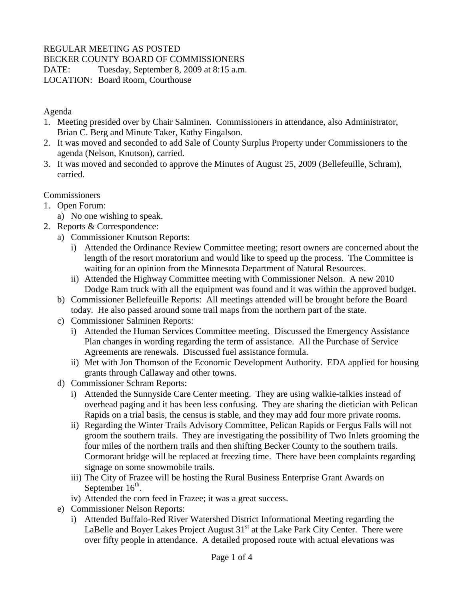### REGULAR MEETING AS POSTED

BECKER COUNTY BOARD OF COMMISSIONERS

DATE: Tuesday, September 8, 2009 at 8:15 a.m.

LOCATION: Board Room, Courthouse

Agenda

- 1. Meeting presided over by Chair Salminen. Commissioners in attendance, also Administrator, Brian C. Berg and Minute Taker, Kathy Fingalson.
- 2. It was moved and seconded to add Sale of County Surplus Property under Commissioners to the agenda (Nelson, Knutson), carried.
- 3. It was moved and seconded to approve the Minutes of August 25, 2009 (Bellefeuille, Schram), carried.

**Commissioners** 

- 1. Open Forum:
	- a) No one wishing to speak.
- 2. Reports & Correspondence:
	- a) Commissioner Knutson Reports:
		- i) Attended the Ordinance Review Committee meeting; resort owners are concerned about the length of the resort moratorium and would like to speed up the process. The Committee is waiting for an opinion from the Minnesota Department of Natural Resources.
		- ii) Attended the Highway Committee meeting with Commissioner Nelson. A new 2010 Dodge Ram truck with all the equipment was found and it was within the approved budget.
	- b) Commissioner Bellefeuille Reports: All meetings attended will be brought before the Board today. He also passed around some trail maps from the northern part of the state.
	- c) Commissioner Salminen Reports:
		- i) Attended the Human Services Committee meeting. Discussed the Emergency Assistance Plan changes in wording regarding the term of assistance. All the Purchase of Service Agreements are renewals. Discussed fuel assistance formula.
		- ii) Met with Jon Thomson of the Economic Development Authority. EDA applied for housing grants through Callaway and other towns.
	- d) Commissioner Schram Reports:
		- i) Attended the Sunnyside Care Center meeting. They are using walkie-talkies instead of overhead paging and it has been less confusing. They are sharing the dietician with Pelican Rapids on a trial basis, the census is stable, and they may add four more private rooms.
		- ii) Regarding the Winter Trails Advisory Committee, Pelican Rapids or Fergus Falls will not groom the southern trails. They are investigating the possibility of Two Inlets grooming the four miles of the northern trails and then shifting Becker County to the southern trails. Cormorant bridge will be replaced at freezing time. There have been complaints regarding signage on some snowmobile trails.
		- iii) The City of Frazee will be hosting the Rural Business Enterprise Grant Awards on September  $16^{\text{th}}$ .
		- iv) Attended the corn feed in Frazee; it was a great success.
	- e) Commissioner Nelson Reports:
		- i) Attended Buffalo-Red River Watershed District Informational Meeting regarding the LaBelle and Boyer Lakes Project August  $31<sup>st</sup>$  at the Lake Park City Center. There were over fifty people in attendance. A detailed proposed route with actual elevations was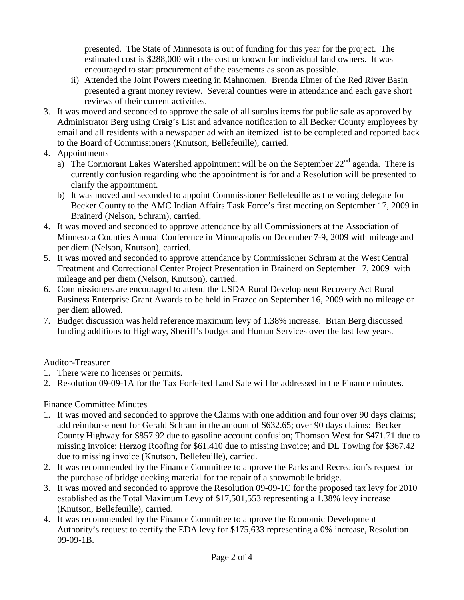presented. The State of Minnesota is out of funding for this year for the project. The estimated cost is \$288,000 with the cost unknown for individual land owners. It was encouraged to start procurement of the easements as soon as possible.

- ii) Attended the Joint Powers meeting in Mahnomen. Brenda Elmer of the Red River Basin presented a grant money review. Several counties were in attendance and each gave short reviews of their current activities.
- 3. It was moved and seconded to approve the sale of all surplus items for public sale as approved by Administrator Berg using Craig's List and advance notification to all Becker County employees by email and all residents with a newspaper ad with an itemized list to be completed and reported back to the Board of Commissioners (Knutson, Bellefeuille), carried.
- 4. Appointments
	- a) The Cormorant Lakes Watershed appointment will be on the September  $22<sup>nd</sup>$  agenda. There is currently confusion regarding who the appointment is for and a Resolution will be presented to clarify the appointment.
	- b) It was moved and seconded to appoint Commissioner Bellefeuille as the voting delegate for Becker County to the AMC Indian Affairs Task Force's first meeting on September 17, 2009 in Brainerd (Nelson, Schram), carried.
- 4. It was moved and seconded to approve attendance by all Commissioners at the Association of Minnesota Counties Annual Conference in Minneapolis on December 7-9, 2009 with mileage and per diem (Nelson, Knutson), carried.
- 5. It was moved and seconded to approve attendance by Commissioner Schram at the West Central Treatment and Correctional Center Project Presentation in Brainerd on September 17, 2009 with mileage and per diem (Nelson, Knutson), carried.
- 6. Commissioners are encouraged to attend the USDA Rural Development Recovery Act Rural Business Enterprise Grant Awards to be held in Frazee on September 16, 2009 with no mileage or per diem allowed.
- 7. Budget discussion was held reference maximum levy of 1.38% increase. Brian Berg discussed funding additions to Highway, Sheriff's budget and Human Services over the last few years.

#### Auditor-Treasurer

- 1. There were no licenses or permits.
- 2. Resolution 09-09-1A for the Tax Forfeited Land Sale will be addressed in the Finance minutes.

#### Finance Committee Minutes

- 1. It was moved and seconded to approve the Claims with one addition and four over 90 days claims; add reimbursement for Gerald Schram in the amount of \$632.65; over 90 days claims: Becker County Highway for \$857.92 due to gasoline account confusion; Thomson West for \$471.71 due to missing invoice; Herzog Roofing for \$61,410 due to missing invoice; and DL Towing for \$367.42 due to missing invoice (Knutson, Bellefeuille), carried.
- 2. It was recommended by the Finance Committee to approve the Parks and Recreation's request for the purchase of bridge decking material for the repair of a snowmobile bridge.
- 3. It was moved and seconded to approve the Resolution 09-09-1C for the proposed tax levy for 2010 established as the Total Maximum Levy of \$17,501,553 representing a 1.38% levy increase (Knutson, Bellefeuille), carried.
- 4. It was recommended by the Finance Committee to approve the Economic Development Authority's request to certify the EDA levy for \$175,633 representing a 0% increase, Resolution 09-09-1B.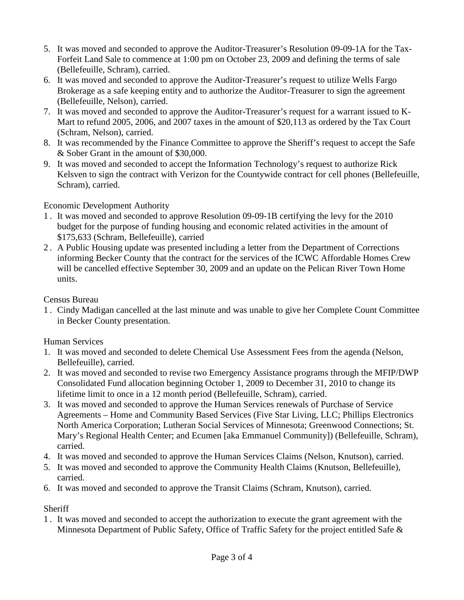- 5. It was moved and seconded to approve the Auditor-Treasurer's Resolution 09-09-1A for the Tax-Forfeit Land Sale to commence at 1:00 pm on October 23, 2009 and defining the terms of sale (Bellefeuille, Schram), carried.
- 6. It was moved and seconded to approve the Auditor-Treasurer's request to utilize Wells Fargo Brokerage as a safe keeping entity and to authorize the Auditor-Treasurer to sign the agreement (Bellefeuille, Nelson), carried.
- 7. It was moved and seconded to approve the Auditor-Treasurer's request for a warrant issued to K-Mart to refund 2005, 2006, and 2007 taxes in the amount of \$20,113 as ordered by the Tax Court (Schram, Nelson), carried.
- 8. It was recommended by the Finance Committee to approve the Sheriff's request to accept the Safe & Sober Grant in the amount of \$30,000.
- 9. It was moved and seconded to accept the Information Technology's request to authorize Rick Kelsven to sign the contract with Verizon for the Countywide contract for cell phones (Bellefeuille, Schram), carried.

### Economic Development Authority

- 1 . It was moved and seconded to approve Resolution 09-09-1B certifying the levy for the 2010 budget for the purpose of funding housing and economic related activities in the amount of \$175,633 (Schram, Bellefeuille), carried
- 2 . A Public Housing update was presented including a letter from the Department of Corrections informing Becker County that the contract for the services of the ICWC Affordable Homes Crew will be cancelled effective September 30, 2009 and an update on the Pelican River Town Home units.

## Census Bureau

1 . Cindy Madigan cancelled at the last minute and was unable to give her Complete Count Committee in Becker County presentation.

# Human Services

- 1. It was moved and seconded to delete Chemical Use Assessment Fees from the agenda (Nelson, Bellefeuille), carried.
- 2. It was moved and seconded to revise two Emergency Assistance programs through the MFIP/DWP Consolidated Fund allocation beginning October 1, 2009 to December 31, 2010 to change its lifetime limit to once in a 12 month period (Bellefeuille, Schram), carried.
- 3. It was moved and seconded to approve the Human Services renewals of Purchase of Service Agreements – Home and Community Based Services (Five Star Living, LLC; Phillips Electronics North America Corporation; Lutheran Social Services of Minnesota; Greenwood Connections; St. Mary's Regional Health Center; and Ecumen [aka Emmanuel Community]) (Bellefeuille, Schram), carried.
- 4. It was moved and seconded to approve the Human Services Claims (Nelson, Knutson), carried.
- 5. It was moved and seconded to approve the Community Health Claims (Knutson, Bellefeuille), carried.
- 6. It was moved and seconded to approve the Transit Claims (Schram, Knutson), carried.

# **Sheriff**

1 . It was moved and seconded to accept the authorization to execute the grant agreement with the Minnesota Department of Public Safety, Office of Traffic Safety for the project entitled Safe &